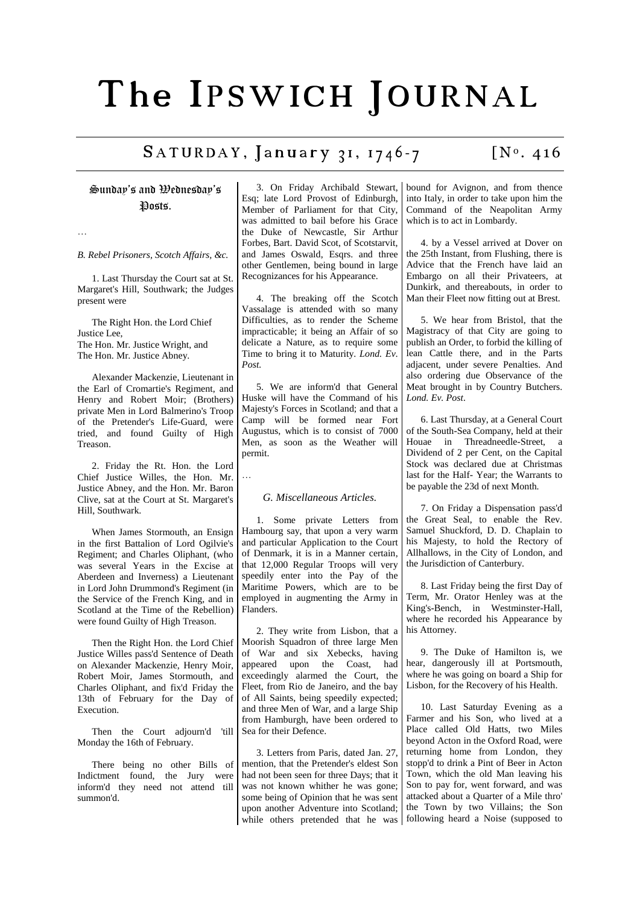## The IPSWICH JOURNAL

## $SATURDAY$ , January 31, 1746-7 [N°. 416]

Sunday's and Wednesday's Posts.

…

*B. Rebel Prisoners, Scotch Affairs, &c.*

1. Last Thursday the Court sat at St. Margaret's Hill, Southwark; the Judges present were

The Right Hon. the Lord Chief Justice Lee, The Hon. Mr. Justice Wright, and The Hon. Mr. Justice Abney.

Alexander Mackenzie, Lieutenant in the Earl of Cromartie's Regiment, and Henry and Robert Moir; (Brothers) private Men in Lord Balmerino's Troop of the Pretender's Life-Guard, were tried, and found Guilty of High Treason.

2. Friday the Rt. Hon. the Lord Chief Justice Willes, the Hon. Mr. Justice Abney, and the Hon. Mr. Baron Clive, sat at the Court at St. Margaret's Hill, Southwark.

When James Stormouth, an Ensign in the first Battalion of Lord Ogilvie's Regiment; and Charles Oliphant, (who was several Years in the Excise at Aberdeen and Inverness) a Lieutenant in Lord John Drummond's Regiment (in the Service of the French King, and in Scotland at the Time of the Rebellion) were found Guilty of High Treason.

Then the Right Hon. the Lord Chief Justice Willes pass'd Sentence of Death on Alexander Mackenzie, Henry Moir, Robert Moir, James Stormouth, and Charles Oliphant, and fix'd Friday the 13th of February for the Day of Execution.

Then the Court adjourn'd 'till Monday the 16th of February.

There being no other Bills of Indictment found, the Jury were inform'd they need not attend till summon'd.

3. On Friday Archibald Stewart, Esq; late Lord Provost of Edinburgh, Member of Parliament for that City, was admitted to bail before his Grace the Duke of Newcastle, Sir Arthur Forbes, Bart. David Scot, of Scotstarvit, and James Oswald, Esqrs. and three other Gentlemen, being bound in large Recognizances for his Appearance.

4. The breaking off the Scotch Vassalage is attended with so many Difficulties, as to render the Scheme impracticable; it being an Affair of so delicate a Nature, as to require some Time to bring it to Maturity. *Lond. Ev. Post.*

5. We are inform'd that General Huske will have the Command of his Majesty's Forces in Scotland; and that a Camp will be formed near Fort Augustus, which is to consist of 7000 Men, as soon as the Weather will permit.

## *G. Miscellaneous Articles.*

1. Some private Letters from Hambourg say, that upon a very warm and particular Application to the Court of Denmark, it is in a Manner certain, that 12,000 Regular Troops will very speedily enter into the Pay of the Maritime Powers, which are to be employed in augmenting the Army in Flanders.

2. They write from Lisbon, that a Moorish Squadron of three large Men of War and six Xebecks, having appeared upon the Coast, had exceedingly alarmed the Court, the Fleet, from Rio de Janeiro, and the bay of All Saints, being speedily expected; and three Men of War, and a large Ship from Hamburgh, have been ordered to Sea for their Defence.

3. Letters from Paris, dated Jan. 27, mention, that the Pretender's eldest Son had not been seen for three Days; that it was not known whither he was gone; some being of Opinion that he was sent upon another Adventure into Scotland; while others pretended that he was

bound for Avignon, and from thence into Italy, in order to take upon him the Command of the Neapolitan Army which is to act in Lombardy.

4. by a Vessel arrived at Dover on the 25th Instant, from Flushing, there is Advice that the French have laid an Embargo on all their Privateers, at Dunkirk, and thereabouts, in order to Man their Fleet now fitting out at Brest.

5. We hear from Bristol, that the Magistracy of that City are going to publish an Order, to forbid the killing of lean Cattle there, and in the Parts adjacent, under severe Penalties. And also ordering due Observance of the Meat brought in by Country Butchers. *Lond. Ev. Post*.

6. Last Thursday, at a General Court of the South-Sea Company, held at their Houae in Threadneedle-Street, a Dividend of 2 per Cent, on the Capital Stock was declared due at Christmas last for the Half- Year; the Warrants to be payable the 23d of next Month.

7. On Friday a Dispensation pass'd the Great Seal, to enable the Rev. Samuel Shuckford, D. D. Chaplain to his Majesty, to hold the Rectory of Allhallows, in the City of London, and the Jurisdiction of Canterbury.

8. Last Friday being the first Day of Term, Mr. Orator Henley was at the King's-Bench, in Westminster-Hall, where he recorded his Appearance by his Attorney.

9. The Duke of Hamilton is, we hear, dangerously ill at Portsmouth, where he was going on board a Ship for Lisbon, for the Recovery of his Health.

10. Last Saturday Evening as a Farmer and his Son, who lived at a Place called Old Hatts, two Miles beyond Acton in the Oxford Road, were returning home from London, they stopp'd to drink a Pint of Beer in Acton Town, which the old Man leaving his Son to pay for, went forward, and was attacked about a Quarter of a Mile thro' the Town by two Villains; the Son following heard a Noise (supposed to

…